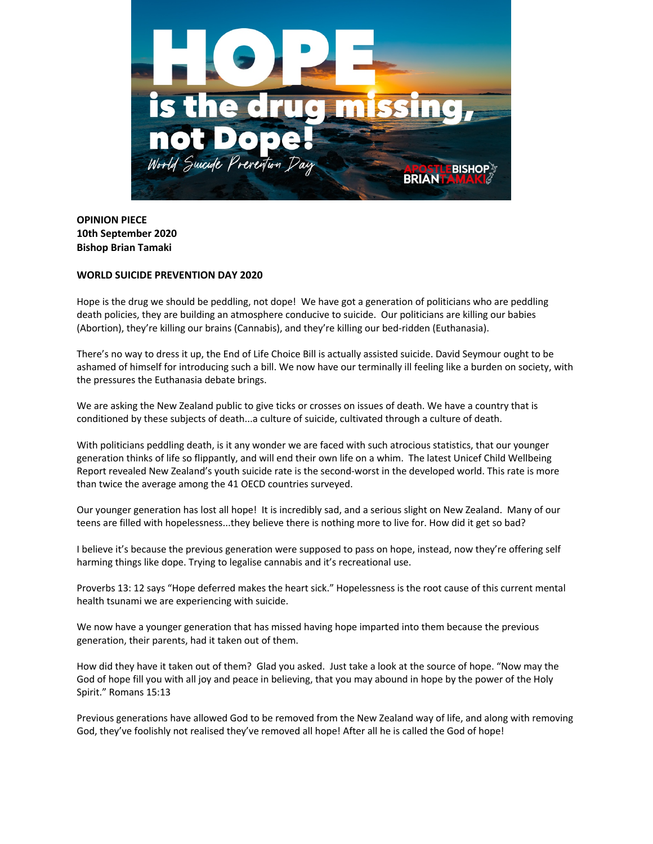

**OPINION PIECE 10th September 2020 Bishop Brian Tamaki**

## **WORLD SUICIDE PREVENTION DAY 2020**

Hope is the drug we should be peddling, not dope! We have got a generation of politicians who are peddling death policies, they are building an atmosphere conducive to suicide. Our politicians are killing our babies (Abortion), they're killing our brains (Cannabis), and they're killing our bed-ridden (Euthanasia).

There's no way to dress it up, the End of Life Choice Bill is actually assisted suicide. David Seymour ought to be ashamed of himself for introducing such a bill. We now have our terminally ill feeling like a burden on society, with the pressures the Euthanasia debate brings.

We are asking the New Zealand public to give ticks or crosses on issues of death. We have a country that is conditioned by these subjects of death...a culture of suicide, cultivated through a culture of death.

With politicians peddling death, is it any wonder we are faced with such atrocious statistics, that our younger generation thinks of life so flippantly, and will end their own life on a whim. The latest Unicef Child Wellbeing Report revealed New Zealand's youth suicide rate is the second-worst in the developed world. This rate is more than twice the average among the 41 OECD countries surveyed.

Our younger generation has lost all hope! It is incredibly sad, and a serious slight on New Zealand. Many of our teens are filled with hopelessness...they believe there is nothing more to live for. How did it get so bad?

I believe it's because the previous generation were supposed to pass on hope, instead, now they're offering self harming things like dope. Trying to legalise cannabis and it's recreational use.

Proverbs 13: 12 says "Hope deferred makes the heart sick." Hopelessness is the root cause of this current mental health tsunami we are experiencing with suicide.

We now have a younger generation that has missed having hope imparted into them because the previous generation, their parents, had it taken out of them.

How did they have it taken out of them? Glad you asked. Just take a look at the source of hope. "Now may the God of hope fill you with all joy and peace in believing, that you may abound in hope by the power of the Holy Spirit." Romans 15:13

Previous generations have allowed God to be removed from the New Zealand way of life, and along with removing God, they've foolishly not realised they've removed all hope! After all he is called the God of hope!